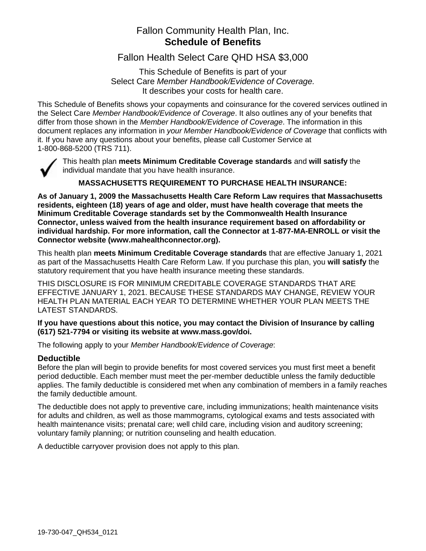## Fallon Community Health Plan, Inc. **Schedule of Benefits**

Fallon Health Select Care QHD HSA \$3,000

This Schedule of Benefits is part of your Select Care *Member Handbook/Evidence of Coverage.* It describes your costs for health care.

This Schedule of Benefits shows your copayments and coinsurance for the covered services outlined in the Select Care *Member Handbook/Evidence of Coverage*. It also outlines any of your benefits that differ from those shown in the *Member Handbook/Evidence of Coverage*. The information in this document replaces any information in *your Member Handbook/Evidence of Coverage* that conflicts with it. If you have any questions about your benefits, please call Customer Service at 1-800-868-5200 (TRS 711).



This health plan **meets Minimum Creditable Coverage standards** and **will satisfy** the individual mandate that you have health insurance.

### **MASSACHUSETTS REQUIREMENT TO PURCHASE HEALTH INSURANCE:**

**As of January 1, 2009 the Massachusetts Health Care Reform Law requires that Massachusetts residents, eighteen (18) years of age and older, must have health coverage that meets the Minimum Creditable Coverage standards set by the Commonwealth Health Insurance Connector, unless waived from the health insurance requirement based on affordability or individual hardship. For more information, call the Connector at 1-877-MA-ENROLL or visit the Connector website (www.mahealthconnector.org).** 

This health plan **meets Minimum Creditable Coverage standards** that are effective January 1, 2021 as part of the Massachusetts Health Care Reform Law. If you purchase this plan, you **will satisfy** the statutory requirement that you have health insurance meeting these standards.

THIS DISCLOSURE IS FOR MINIMUM CREDITABLE COVERAGE STANDARDS THAT ARE EFFECTIVE JANUARY 1, 2021. BECAUSE THESE STANDARDS MAY CHANGE, REVIEW YOUR HEALTH PLAN MATERIAL EACH YEAR TO DETERMINE WHETHER YOUR PLAN MEETS THE LATEST STANDARDS.

### **If you have questions about this notice, you may contact the Division of Insurance by calling (617) 521-7794 or visiting its website at www.mass.gov/doi.**

The following apply to your *Member Handbook/Evidence of Coverage*:

### **Deductible**

Before the plan will begin to provide benefits for most covered services you must first meet a benefit period deductible. Each member must meet the per-member deductible unless the family deductible applies. The family deductible is considered met when any combination of members in a family reaches the family deductible amount.

The deductible does not apply to preventive care, including immunizations; health maintenance visits for adults and children, as well as those mammograms, cytological exams and tests associated with health maintenance visits; prenatal care; well child care, including vision and auditory screening; voluntary family planning; or nutrition counseling and health education.

A deductible carryover provision does not apply to this plan.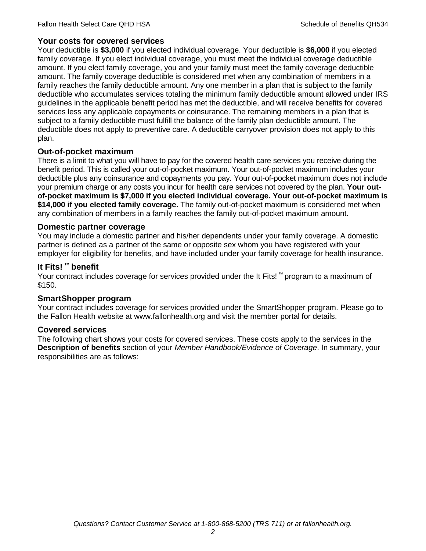### **Your costs for covered services**

Your deductible is **\$3,000** if you elected individual coverage. Your deductible is **\$6,000** if you elected family coverage. If you elect individual coverage, you must meet the individual coverage deductible amount. If you elect family coverage, you and your family must meet the family coverage deductible amount. The family coverage deductible is considered met when any combination of members in a family reaches the family deductible amount. Any one member in a plan that is subject to the family deductible who accumulates services totaling the minimum family deductible amount allowed under IRS guidelines in the applicable benefit period has met the deductible, and will receive benefits for covered services less any applicable copayments or coinsurance. The remaining members in a plan that is subject to a family deductible must fulfill the balance of the family plan deductible amount. The deductible does not apply to preventive care. A deductible carryover provision does not apply to this plan.

### **Out-of-pocket maximum**

There is a limit to what you will have to pay for the covered health care services you receive during the benefit period. This is called your out-of-pocket maximum. Your out-of-pocket maximum includes your deductible plus any coinsurance and copayments you pay. Your out-of-pocket maximum does not include your premium charge or any costs you incur for health care services not covered by the plan. **Your outof-pocket maximum is \$7,000 if you elected individual coverage. Your out-of-pocket maximum is \$14,000 if you elected family coverage.** The family out-of-pocket maximum is considered met when any combination of members in a family reaches the family out-of-pocket maximum amount.

### **Domestic partner coverage**

You may include a domestic partner and his/her dependents under your family coverage. A domestic partner is defined as a partner of the same or opposite sex whom you have registered with your employer for eligibility for benefits, and have included under your family coverage for health insurance.

## **It Fits! ™ benefit**

Your contract includes coverage for services provided under the It Fits! ™ program to a maximum of \$150.

### **SmartShopper program**

Your contract includes coverage for services provided under the SmartShopper program. Please go to the Fallon Health website at www.fallonhealth.org and visit the member portal for details.

### **Covered services**

The following chart shows your costs for covered services. These costs apply to the services in the **Description of benefits** section of your *Member Handbook/Evidence of Coverage*. In summary, your responsibilities are as follows: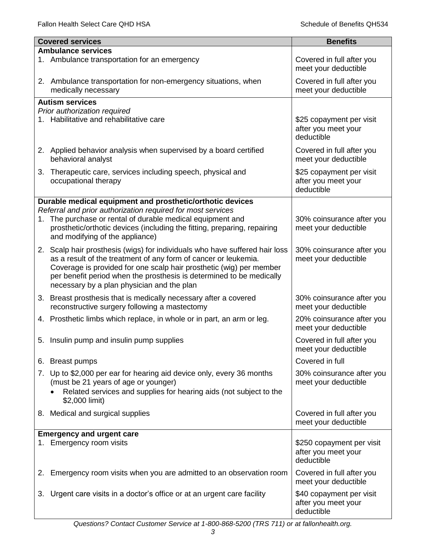|    | <b>Covered services</b>                                                                                                                                                                                                                                      | <b>Benefits</b>                                                |
|----|--------------------------------------------------------------------------------------------------------------------------------------------------------------------------------------------------------------------------------------------------------------|----------------------------------------------------------------|
|    | <b>Ambulance services</b>                                                                                                                                                                                                                                    |                                                                |
|    | 1. Ambulance transportation for an emergency                                                                                                                                                                                                                 | Covered in full after you<br>meet your deductible              |
|    | 2. Ambulance transportation for non-emergency situations, when<br>medically necessary                                                                                                                                                                        | Covered in full after you<br>meet your deductible              |
|    | <b>Autism services</b>                                                                                                                                                                                                                                       |                                                                |
|    | Prior authorization required                                                                                                                                                                                                                                 |                                                                |
|    | 1. Habilitative and rehabilitative care                                                                                                                                                                                                                      | \$25 copayment per visit<br>after you meet your<br>deductible  |
|    | 2. Applied behavior analysis when supervised by a board certified<br>behavioral analyst                                                                                                                                                                      | Covered in full after you<br>meet your deductible              |
| 3. | Therapeutic care, services including speech, physical and<br>occupational therapy                                                                                                                                                                            | \$25 copayment per visit<br>after you meet your<br>deductible  |
|    | Durable medical equipment and prosthetic/orthotic devices                                                                                                                                                                                                    |                                                                |
|    | Referral and prior authorization required for most services                                                                                                                                                                                                  |                                                                |
|    | 1. The purchase or rental of durable medical equipment and<br>prosthetic/orthotic devices (including the fitting, preparing, repairing<br>and modifying of the appliance)                                                                                    | 30% coinsurance after you<br>meet your deductible              |
|    | 2. Scalp hair prosthesis (wigs) for individuals who have suffered hair loss                                                                                                                                                                                  | 30% coinsurance after you                                      |
|    | as a result of the treatment of any form of cancer or leukemia.<br>Coverage is provided for one scalp hair prosthetic (wig) per member<br>per benefit period when the prosthesis is determined to be medically<br>necessary by a plan physician and the plan | meet your deductible                                           |
|    | 3. Breast prosthesis that is medically necessary after a covered                                                                                                                                                                                             | 30% coinsurance after you                                      |
|    | reconstructive surgery following a mastectomy                                                                                                                                                                                                                | meet your deductible                                           |
|    | 4. Prosthetic limbs which replace, in whole or in part, an arm or leg.                                                                                                                                                                                       | 20% coinsurance after you<br>meet your deductible              |
|    | 5. Insulin pump and insulin pump supplies                                                                                                                                                                                                                    | Covered in full after you<br>meet your deductible              |
|    | 6. Breast pumps                                                                                                                                                                                                                                              | Covered in full                                                |
|    | 7. Up to \$2,000 per ear for hearing aid device only, every 36 months<br>(must be 21 years of age or younger)<br>Related services and supplies for hearing aids (not subject to the<br>\$2,000 limit)                                                        | 30% coinsurance after you<br>meet your deductible              |
|    |                                                                                                                                                                                                                                                              |                                                                |
|    | 8. Medical and surgical supplies                                                                                                                                                                                                                             | Covered in full after you<br>meet your deductible              |
|    | <b>Emergency and urgent care</b>                                                                                                                                                                                                                             |                                                                |
| 1. | Emergency room visits                                                                                                                                                                                                                                        | \$250 copayment per visit<br>after you meet your<br>deductible |
| 2. | Emergency room visits when you are admitted to an observation room                                                                                                                                                                                           | Covered in full after you<br>meet your deductible              |
| 3. | Urgent care visits in a doctor's office or at an urgent care facility                                                                                                                                                                                        | \$40 copayment per visit<br>after you meet your<br>deductible  |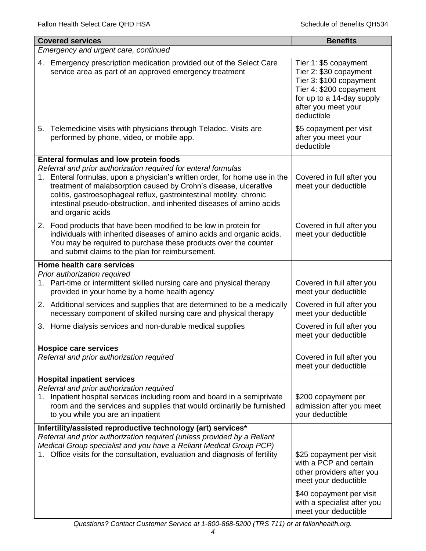| <b>Covered services</b>                                                                                                                                                                                                                                                                                                                                                               | <b>Benefits</b>                                                                                                                                                         |  |  |
|---------------------------------------------------------------------------------------------------------------------------------------------------------------------------------------------------------------------------------------------------------------------------------------------------------------------------------------------------------------------------------------|-------------------------------------------------------------------------------------------------------------------------------------------------------------------------|--|--|
| Emergency and urgent care, continued                                                                                                                                                                                                                                                                                                                                                  |                                                                                                                                                                         |  |  |
| 4. Emergency prescription medication provided out of the Select Care<br>service area as part of an approved emergency treatment                                                                                                                                                                                                                                                       | Tier 1: \$5 copayment<br>Tier 2: \$30 copayment<br>Tier 3: \$100 copayment<br>Tier 4: \$200 copayment<br>for up to a 14-day supply<br>after you meet your<br>deductible |  |  |
| 5. Telemedicine visits with physicians through Teladoc. Visits are<br>performed by phone, video, or mobile app.                                                                                                                                                                                                                                                                       | \$5 copayment per visit<br>after you meet your<br>deductible                                                                                                            |  |  |
| <b>Enteral formulas and low protein foods</b>                                                                                                                                                                                                                                                                                                                                         |                                                                                                                                                                         |  |  |
| Referral and prior authorization required for enteral formulas<br>1. Enteral formulas, upon a physician's written order, for home use in the<br>treatment of malabsorption caused by Crohn's disease, ulcerative<br>colitis, gastroesophageal reflux, gastrointestinal motility, chronic<br>intestinal pseudo-obstruction, and inherited diseases of amino acids<br>and organic acids | Covered in full after you<br>meet your deductible                                                                                                                       |  |  |
| 2. Food products that have been modified to be low in protein for<br>individuals with inherited diseases of amino acids and organic acids.<br>You may be required to purchase these products over the counter<br>and submit claims to the plan for reimbursement.                                                                                                                     | Covered in full after you<br>meet your deductible                                                                                                                       |  |  |
| Home health care services                                                                                                                                                                                                                                                                                                                                                             |                                                                                                                                                                         |  |  |
| Prior authorization required<br>1. Part-time or intermittent skilled nursing care and physical therapy<br>provided in your home by a home health agency                                                                                                                                                                                                                               | Covered in full after you<br>meet your deductible                                                                                                                       |  |  |
| 2. Additional services and supplies that are determined to be a medically<br>necessary component of skilled nursing care and physical therapy                                                                                                                                                                                                                                         | Covered in full after you<br>meet your deductible                                                                                                                       |  |  |
| 3. Home dialysis services and non-durable medical supplies                                                                                                                                                                                                                                                                                                                            | Covered in full after you<br>meet your deductible                                                                                                                       |  |  |
| <b>Hospice care services</b>                                                                                                                                                                                                                                                                                                                                                          |                                                                                                                                                                         |  |  |
| Referral and prior authorization required                                                                                                                                                                                                                                                                                                                                             | Covered in full after you<br>meet your deductible                                                                                                                       |  |  |
| <b>Hospital inpatient services</b><br>Referral and prior authorization required<br>Inpatient hospital services including room and board in a semiprivate<br>1.<br>room and the services and supplies that would ordinarily be furnished<br>to you while you are an inpatient                                                                                                          | \$200 copayment per<br>admission after you meet<br>your deductible                                                                                                      |  |  |
| Infertility/assisted reproductive technology (art) services*                                                                                                                                                                                                                                                                                                                          |                                                                                                                                                                         |  |  |
| Referral and prior authorization required (unless provided by a Reliant<br>Medical Group specialist and you have a Reliant Medical Group PCP)<br>Office visits for the consultation, evaluation and diagnosis of fertility                                                                                                                                                            | \$25 copayment per visit<br>with a PCP and certain<br>other providers after you<br>meet your deductible<br>\$40 copayment per visit<br>with a specialist after you      |  |  |
|                                                                                                                                                                                                                                                                                                                                                                                       | meet your deductible                                                                                                                                                    |  |  |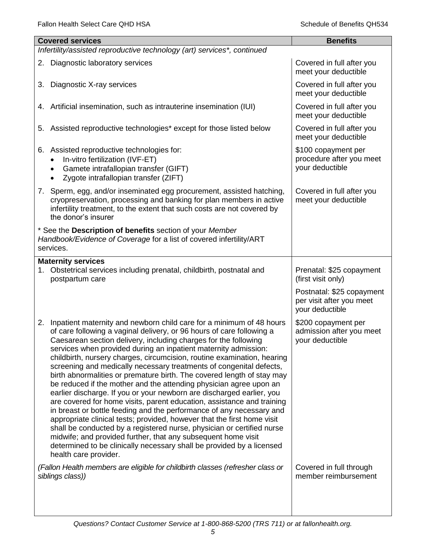| <b>Covered services</b>                                                                                                                                                                                                                                                                                                                                                                                                                                                                                                                                                                                                                                                                                                                                                                                                                                                                                                                                                                                                                                                                                                                     | <b>Benefits</b>                                                          |
|---------------------------------------------------------------------------------------------------------------------------------------------------------------------------------------------------------------------------------------------------------------------------------------------------------------------------------------------------------------------------------------------------------------------------------------------------------------------------------------------------------------------------------------------------------------------------------------------------------------------------------------------------------------------------------------------------------------------------------------------------------------------------------------------------------------------------------------------------------------------------------------------------------------------------------------------------------------------------------------------------------------------------------------------------------------------------------------------------------------------------------------------|--------------------------------------------------------------------------|
| Infertility/assisted reproductive technology (art) services*, continued                                                                                                                                                                                                                                                                                                                                                                                                                                                                                                                                                                                                                                                                                                                                                                                                                                                                                                                                                                                                                                                                     |                                                                          |
| 2. Diagnostic laboratory services                                                                                                                                                                                                                                                                                                                                                                                                                                                                                                                                                                                                                                                                                                                                                                                                                                                                                                                                                                                                                                                                                                           | Covered in full after you<br>meet your deductible                        |
| Diagnostic X-ray services<br>3.                                                                                                                                                                                                                                                                                                                                                                                                                                                                                                                                                                                                                                                                                                                                                                                                                                                                                                                                                                                                                                                                                                             | Covered in full after you<br>meet your deductible                        |
| 4. Artificial insemination, such as intrauterine insemination (IUI)                                                                                                                                                                                                                                                                                                                                                                                                                                                                                                                                                                                                                                                                                                                                                                                                                                                                                                                                                                                                                                                                         | Covered in full after you<br>meet your deductible                        |
| Assisted reproductive technologies* except for those listed below<br>5.                                                                                                                                                                                                                                                                                                                                                                                                                                                                                                                                                                                                                                                                                                                                                                                                                                                                                                                                                                                                                                                                     | Covered in full after you<br>meet your deductible                        |
| 6. Assisted reproductive technologies for:<br>In-vitro fertilization (IVF-ET)<br>Gamete intrafallopian transfer (GIFT)<br>Zygote intrafallopian transfer (ZIFT)                                                                                                                                                                                                                                                                                                                                                                                                                                                                                                                                                                                                                                                                                                                                                                                                                                                                                                                                                                             | \$100 copayment per<br>procedure after you meet<br>your deductible       |
| 7. Sperm, egg, and/or inseminated egg procurement, assisted hatching,<br>cryopreservation, processing and banking for plan members in active<br>infertility treatment, to the extent that such costs are not covered by<br>the donor's insurer                                                                                                                                                                                                                                                                                                                                                                                                                                                                                                                                                                                                                                                                                                                                                                                                                                                                                              | Covered in full after you<br>meet your deductible                        |
| * See the Description of benefits section of your Member<br>Handbook/Evidence of Coverage for a list of covered infertility/ART<br>services.                                                                                                                                                                                                                                                                                                                                                                                                                                                                                                                                                                                                                                                                                                                                                                                                                                                                                                                                                                                                |                                                                          |
| <b>Maternity services</b><br>Obstetrical services including prenatal, childbirth, postnatal and<br>1.<br>postpartum care                                                                                                                                                                                                                                                                                                                                                                                                                                                                                                                                                                                                                                                                                                                                                                                                                                                                                                                                                                                                                    | Prenatal: \$25 copayment<br>(first visit only)                           |
|                                                                                                                                                                                                                                                                                                                                                                                                                                                                                                                                                                                                                                                                                                                                                                                                                                                                                                                                                                                                                                                                                                                                             | Postnatal: \$25 copayment<br>per visit after you meet<br>your deductible |
| 2. Inpatient maternity and newborn child care for a minimum of 48 hours<br>of care following a vaginal delivery, or 96 hours of care following a<br>Caesarean section delivery, including charges for the following<br>services when provided during an inpatient maternity admission:<br>childbirth, nursery charges, circumcision, routine examination, hearing<br>screening and medically necessary treatments of congenital defects,<br>birth abnormalities or premature birth. The covered length of stay may<br>be reduced if the mother and the attending physician agree upon an<br>earlier discharge. If you or your newborn are discharged earlier, you<br>are covered for home visits, parent education, assistance and training<br>in breast or bottle feeding and the performance of any necessary and<br>appropriate clinical tests; provided, however that the first home visit<br>shall be conducted by a registered nurse, physician or certified nurse<br>midwife; and provided further, that any subsequent home visit<br>determined to be clinically necessary shall be provided by a licensed<br>health care provider. | \$200 copayment per<br>admission after you meet<br>your deductible       |
| (Fallon Health members are eligible for childbirth classes (refresher class or<br>siblings class))                                                                                                                                                                                                                                                                                                                                                                                                                                                                                                                                                                                                                                                                                                                                                                                                                                                                                                                                                                                                                                          | Covered in full through<br>member reimbursement                          |
|                                                                                                                                                                                                                                                                                                                                                                                                                                                                                                                                                                                                                                                                                                                                                                                                                                                                                                                                                                                                                                                                                                                                             |                                                                          |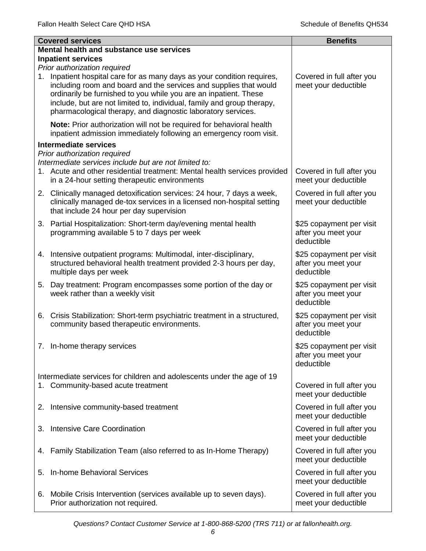|    | <b>Covered services</b>                                                                                                                                                                                                                                                                                                                                                                 | <b>Benefits</b>                                               |
|----|-----------------------------------------------------------------------------------------------------------------------------------------------------------------------------------------------------------------------------------------------------------------------------------------------------------------------------------------------------------------------------------------|---------------------------------------------------------------|
|    | Mental health and substance use services                                                                                                                                                                                                                                                                                                                                                |                                                               |
|    | <b>Inpatient services</b>                                                                                                                                                                                                                                                                                                                                                               |                                                               |
| 1. | Prior authorization required<br>Inpatient hospital care for as many days as your condition requires,<br>including room and board and the services and supplies that would<br>ordinarily be furnished to you while you are an inpatient. These<br>include, but are not limited to, individual, family and group therapy,<br>pharmacological therapy, and diagnostic laboratory services. | Covered in full after you<br>meet your deductible             |
|    | Note: Prior authorization will not be required for behavioral health<br>inpatient admission immediately following an emergency room visit.                                                                                                                                                                                                                                              |                                                               |
|    | <b>Intermediate services</b>                                                                                                                                                                                                                                                                                                                                                            |                                                               |
|    | Prior authorization required<br>Intermediate services include but are not limited to:<br>1. Acute and other residential treatment: Mental health services provided<br>in a 24-hour setting therapeutic environments                                                                                                                                                                     | Covered in full after you<br>meet your deductible             |
|    | 2. Clinically managed detoxification services: 24 hour, 7 days a week,<br>clinically managed de-tox services in a licensed non-hospital setting<br>that include 24 hour per day supervision                                                                                                                                                                                             | Covered in full after you<br>meet your deductible             |
|    | 3. Partial Hospitalization: Short-term day/evening mental health<br>programming available 5 to 7 days per week                                                                                                                                                                                                                                                                          | \$25 copayment per visit<br>after you meet your<br>deductible |
| 4. | Intensive outpatient programs: Multimodal, inter-disciplinary,<br>structured behavioral health treatment provided 2-3 hours per day,<br>multiple days per week                                                                                                                                                                                                                          | \$25 copayment per visit<br>after you meet your<br>deductible |
| 5. | Day treatment: Program encompasses some portion of the day or<br>week rather than a weekly visit                                                                                                                                                                                                                                                                                        | \$25 copayment per visit<br>after you meet your<br>deductible |
| 6. | Crisis Stabilization: Short-term psychiatric treatment in a structured,<br>community based therapeutic environments.                                                                                                                                                                                                                                                                    | \$25 copayment per visit<br>after you meet your<br>deductible |
|    | 7. In-home therapy services                                                                                                                                                                                                                                                                                                                                                             | \$25 copayment per visit<br>after you meet your<br>deductible |
|    | Intermediate services for children and adolescents under the age of 19                                                                                                                                                                                                                                                                                                                  |                                                               |
|    | 1. Community-based acute treatment                                                                                                                                                                                                                                                                                                                                                      | Covered in full after you<br>meet your deductible             |
|    | 2. Intensive community-based treatment                                                                                                                                                                                                                                                                                                                                                  | Covered in full after you<br>meet your deductible             |
| 3. | Intensive Care Coordination                                                                                                                                                                                                                                                                                                                                                             | Covered in full after you<br>meet your deductible             |
| 4. | Family Stabilization Team (also referred to as In-Home Therapy)                                                                                                                                                                                                                                                                                                                         | Covered in full after you<br>meet your deductible             |
| 5. | In-home Behavioral Services                                                                                                                                                                                                                                                                                                                                                             | Covered in full after you<br>meet your deductible             |
|    | 6. Mobile Crisis Intervention (services available up to seven days).<br>Prior authorization not required.                                                                                                                                                                                                                                                                               | Covered in full after you<br>meet your deductible             |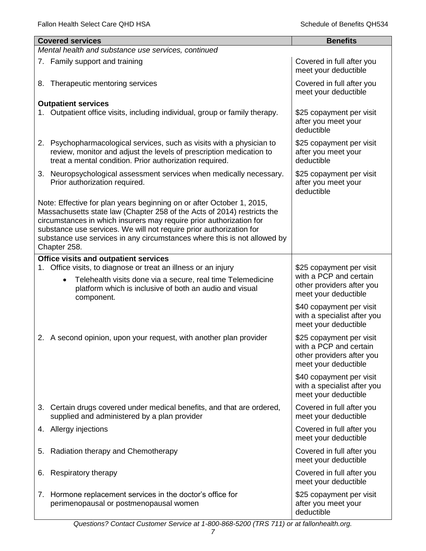|    | <b>Covered services</b>                                                                                                                                                                                                                                                                                                                                                                    | <b>Benefits</b>                                                                                         |
|----|--------------------------------------------------------------------------------------------------------------------------------------------------------------------------------------------------------------------------------------------------------------------------------------------------------------------------------------------------------------------------------------------|---------------------------------------------------------------------------------------------------------|
|    | Mental health and substance use services, continued                                                                                                                                                                                                                                                                                                                                        |                                                                                                         |
|    | 7. Family support and training                                                                                                                                                                                                                                                                                                                                                             | Covered in full after you<br>meet your deductible                                                       |
| 8. | Therapeutic mentoring services                                                                                                                                                                                                                                                                                                                                                             | Covered in full after you<br>meet your deductible                                                       |
|    | <b>Outpatient services</b>                                                                                                                                                                                                                                                                                                                                                                 |                                                                                                         |
|    | 1. Outpatient office visits, including individual, group or family therapy.                                                                                                                                                                                                                                                                                                                | \$25 copayment per visit<br>after you meet your<br>deductible                                           |
|    | 2. Psychopharmacological services, such as visits with a physician to<br>review, monitor and adjust the levels of prescription medication to<br>treat a mental condition. Prior authorization required.                                                                                                                                                                                    | \$25 copayment per visit<br>after you meet your<br>deductible                                           |
|    | 3. Neuropsychological assessment services when medically necessary.<br>Prior authorization required.                                                                                                                                                                                                                                                                                       | \$25 copayment per visit<br>after you meet your<br>deductible                                           |
|    | Note: Effective for plan years beginning on or after October 1, 2015,<br>Massachusetts state law (Chapter 258 of the Acts of 2014) restricts the<br>circumstances in which insurers may require prior authorization for<br>substance use services. We will not require prior authorization for<br>substance use services in any circumstances where this is not allowed by<br>Chapter 258. |                                                                                                         |
|    | <b>Office visits and outpatient services</b>                                                                                                                                                                                                                                                                                                                                               |                                                                                                         |
| 1. | Office visits, to diagnose or treat an illness or an injury<br>Telehealth visits done via a secure, real time Telemedicine<br>$\bullet$<br>platform which is inclusive of both an audio and visual<br>component.                                                                                                                                                                           | \$25 copayment per visit<br>with a PCP and certain<br>other providers after you<br>meet your deductible |
|    |                                                                                                                                                                                                                                                                                                                                                                                            | \$40 copayment per visit<br>with a specialist after you<br>meet your deductible                         |
|    | 2. A second opinion, upon your request, with another plan provider                                                                                                                                                                                                                                                                                                                         | \$25 copayment per visit<br>with a PCP and certain<br>other providers after you<br>meet your deductible |
|    |                                                                                                                                                                                                                                                                                                                                                                                            | \$40 copayment per visit<br>with a specialist after you<br>meet your deductible                         |
| 3. | Certain drugs covered under medical benefits, and that are ordered,<br>supplied and administered by a plan provider                                                                                                                                                                                                                                                                        | Covered in full after you<br>meet your deductible                                                       |
|    | 4. Allergy injections                                                                                                                                                                                                                                                                                                                                                                      | Covered in full after you<br>meet your deductible                                                       |
| 5. | Radiation therapy and Chemotherapy                                                                                                                                                                                                                                                                                                                                                         | Covered in full after you<br>meet your deductible                                                       |
| 6. | Respiratory therapy                                                                                                                                                                                                                                                                                                                                                                        | Covered in full after you<br>meet your deductible                                                       |
| 7. | Hormone replacement services in the doctor's office for<br>perimenopausal or postmenopausal women                                                                                                                                                                                                                                                                                          | \$25 copayment per visit<br>after you meet your<br>deductible                                           |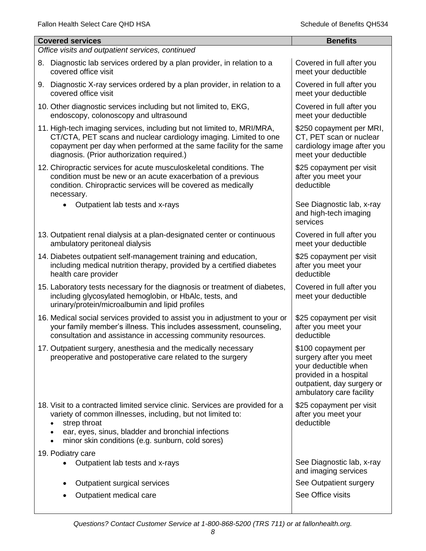| <b>Covered services</b>                                                                                                                                                                                                                                                | <b>Benefits</b>                                                                                                                                           |
|------------------------------------------------------------------------------------------------------------------------------------------------------------------------------------------------------------------------------------------------------------------------|-----------------------------------------------------------------------------------------------------------------------------------------------------------|
| Office visits and outpatient services, continued                                                                                                                                                                                                                       |                                                                                                                                                           |
| Diagnostic lab services ordered by a plan provider, in relation to a<br>8.<br>covered office visit                                                                                                                                                                     | Covered in full after you<br>meet your deductible                                                                                                         |
| 9. Diagnostic X-ray services ordered by a plan provider, in relation to a<br>covered office visit                                                                                                                                                                      | Covered in full after you<br>meet your deductible                                                                                                         |
| 10. Other diagnostic services including but not limited to, EKG,<br>endoscopy, colonoscopy and ultrasound                                                                                                                                                              | Covered in full after you<br>meet your deductible                                                                                                         |
| 11. High-tech imaging services, including but not limited to, MRI/MRA,<br>CT/CTA, PET scans and nuclear cardiology imaging. Limited to one<br>copayment per day when performed at the same facility for the same<br>diagnosis. (Prior authorization required.)         | \$250 copayment per MRI,<br>CT, PET scan or nuclear<br>cardiology image after you<br>meet your deductible                                                 |
| 12. Chiropractic services for acute musculoskeletal conditions. The<br>condition must be new or an acute exacerbation of a previous<br>condition. Chiropractic services will be covered as medically<br>necessary.                                                     | \$25 copayment per visit<br>after you meet your<br>deductible                                                                                             |
| Outpatient lab tests and x-rays                                                                                                                                                                                                                                        | See Diagnostic lab, x-ray<br>and high-tech imaging<br>services                                                                                            |
| 13. Outpatient renal dialysis at a plan-designated center or continuous<br>ambulatory peritoneal dialysis                                                                                                                                                              | Covered in full after you<br>meet your deductible                                                                                                         |
| 14. Diabetes outpatient self-management training and education,<br>including medical nutrition therapy, provided by a certified diabetes<br>health care provider                                                                                                       | \$25 copayment per visit<br>after you meet your<br>deductible                                                                                             |
| 15. Laboratory tests necessary for the diagnosis or treatment of diabetes,<br>including glycosylated hemoglobin, or HbAlc, tests, and<br>urinary/protein/microalbumin and lipid profiles                                                                               | Covered in full after you<br>meet your deductible                                                                                                         |
| 16. Medical social services provided to assist you in adjustment to your or<br>your family member's illness. This includes assessment, counseling,<br>consultation and assistance in accessing community resources.                                                    | \$25 copayment per visit<br>after you meet your<br>deductible                                                                                             |
| 17. Outpatient surgery, anesthesia and the medically necessary<br>preoperative and postoperative care related to the surgery                                                                                                                                           | \$100 copayment per<br>surgery after you meet<br>your deductible when<br>provided in a hospital<br>outpatient, day surgery or<br>ambulatory care facility |
| 18. Visit to a contracted limited service clinic. Services are provided for a<br>variety of common illnesses, including, but not limited to:<br>strep throat<br>ear, eyes, sinus, bladder and bronchial infections<br>minor skin conditions (e.g. sunburn, cold sores) | \$25 copayment per visit<br>after you meet your<br>deductible                                                                                             |
| 19. Podiatry care<br>Outpatient lab tests and x-rays                                                                                                                                                                                                                   | See Diagnostic lab, x-ray<br>and imaging services                                                                                                         |
| Outpatient surgical services                                                                                                                                                                                                                                           | See Outpatient surgery                                                                                                                                    |
| Outpatient medical care                                                                                                                                                                                                                                                | See Office visits                                                                                                                                         |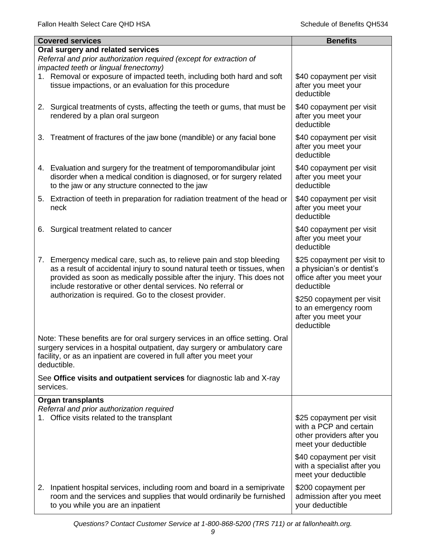|    | <b>Covered services</b>                                                                                                                                                                                                                                                                     | <b>Benefits</b>                                                                                         |
|----|---------------------------------------------------------------------------------------------------------------------------------------------------------------------------------------------------------------------------------------------------------------------------------------------|---------------------------------------------------------------------------------------------------------|
|    | Oral surgery and related services                                                                                                                                                                                                                                                           |                                                                                                         |
|    | Referral and prior authorization required (except for extraction of<br>impacted teeth or lingual frenectomy)                                                                                                                                                                                |                                                                                                         |
|    | 1. Removal or exposure of impacted teeth, including both hard and soft<br>tissue impactions, or an evaluation for this procedure                                                                                                                                                            | \$40 copayment per visit<br>after you meet your<br>deductible                                           |
|    | 2. Surgical treatments of cysts, affecting the teeth or gums, that must be<br>rendered by a plan oral surgeon                                                                                                                                                                               | \$40 copayment per visit<br>after you meet your<br>deductible                                           |
| 3. | Treatment of fractures of the jaw bone (mandible) or any facial bone                                                                                                                                                                                                                        | \$40 copayment per visit<br>after you meet your<br>deductible                                           |
|    | 4. Evaluation and surgery for the treatment of temporomandibular joint<br>disorder when a medical condition is diagnosed, or for surgery related<br>to the jaw or any structure connected to the jaw                                                                                        | \$40 copayment per visit<br>after you meet your<br>deductible                                           |
|    | 5. Extraction of teeth in preparation for radiation treatment of the head or<br>neck                                                                                                                                                                                                        | \$40 copayment per visit<br>after you meet your<br>deductible                                           |
| 6. | Surgical treatment related to cancer                                                                                                                                                                                                                                                        | \$40 copayment per visit<br>after you meet your<br>deductible                                           |
|    | 7. Emergency medical care, such as, to relieve pain and stop bleeding<br>as a result of accidental injury to sound natural teeth or tissues, when<br>provided as soon as medically possible after the injury. This does not<br>include restorative or other dental services. No referral or | \$25 copayment per visit to<br>a physician's or dentist's<br>office after you meet your<br>deductible   |
|    | authorization is required. Go to the closest provider.                                                                                                                                                                                                                                      | \$250 copayment per visit<br>to an emergency room<br>after you meet your<br>deductible                  |
|    | Note: These benefits are for oral surgery services in an office setting. Oral<br>surgery services in a hospital outpatient, day surgery or ambulatory care<br>facility, or as an inpatient are covered in full after you meet your<br>deductible.                                           |                                                                                                         |
|    | See Office visits and outpatient services for diagnostic lab and X-ray<br>services.                                                                                                                                                                                                         |                                                                                                         |
|    | <b>Organ transplants</b>                                                                                                                                                                                                                                                                    |                                                                                                         |
|    | Referral and prior authorization required<br>1. Office visits related to the transplant                                                                                                                                                                                                     | \$25 copayment per visit<br>with a PCP and certain<br>other providers after you<br>meet your deductible |
|    |                                                                                                                                                                                                                                                                                             | \$40 copayment per visit<br>with a specialist after you<br>meet your deductible                         |
| 2. | Inpatient hospital services, including room and board in a semiprivate<br>room and the services and supplies that would ordinarily be furnished<br>to you while you are an inpatient                                                                                                        | \$200 copayment per<br>admission after you meet<br>your deductible                                      |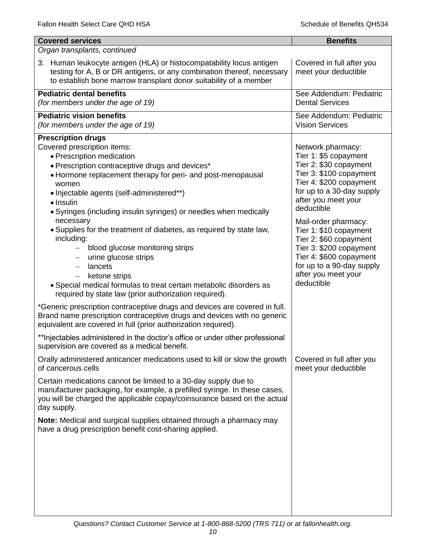| <b>Covered services</b>                                                                                                                                                                                                                                                                                                                                                                                                                                                                                                                                                                                                                                                                                                                                                                                                                                                                                                                                                                                                                                                                                                           | <b>Benefits</b>                                                                                                                                                                                                                                                                                                                                                                                  |
|-----------------------------------------------------------------------------------------------------------------------------------------------------------------------------------------------------------------------------------------------------------------------------------------------------------------------------------------------------------------------------------------------------------------------------------------------------------------------------------------------------------------------------------------------------------------------------------------------------------------------------------------------------------------------------------------------------------------------------------------------------------------------------------------------------------------------------------------------------------------------------------------------------------------------------------------------------------------------------------------------------------------------------------------------------------------------------------------------------------------------------------|--------------------------------------------------------------------------------------------------------------------------------------------------------------------------------------------------------------------------------------------------------------------------------------------------------------------------------------------------------------------------------------------------|
| Organ transplants, continued                                                                                                                                                                                                                                                                                                                                                                                                                                                                                                                                                                                                                                                                                                                                                                                                                                                                                                                                                                                                                                                                                                      |                                                                                                                                                                                                                                                                                                                                                                                                  |
| 3. Human leukocyte antigen (HLA) or histocompatability locus antigen<br>testing for A, B or DR antigens, or any combination thereof, necessary<br>to establish bone marrow transplant donor suitability of a member                                                                                                                                                                                                                                                                                                                                                                                                                                                                                                                                                                                                                                                                                                                                                                                                                                                                                                               | Covered in full after you<br>meet your deductible                                                                                                                                                                                                                                                                                                                                                |
| <b>Pediatric dental benefits</b><br>(for members under the age of 19)                                                                                                                                                                                                                                                                                                                                                                                                                                                                                                                                                                                                                                                                                                                                                                                                                                                                                                                                                                                                                                                             | See Addendum: Pediatric<br><b>Dental Services</b>                                                                                                                                                                                                                                                                                                                                                |
| <b>Pediatric vision benefits</b><br>(for members under the age of 19)                                                                                                                                                                                                                                                                                                                                                                                                                                                                                                                                                                                                                                                                                                                                                                                                                                                                                                                                                                                                                                                             | See Addendum: Pediatric<br><b>Vision Services</b>                                                                                                                                                                                                                                                                                                                                                |
| <b>Prescription drugs</b><br>Covered prescription items:<br>· Prescription medication<br>• Prescription contraceptive drugs and devices*<br>• Hormone replacement therapy for peri- and post-menopausal<br>women<br>• Injectable agents (self-administered**)<br>$\bullet$ Insulin<br>• Syringes (including insulin syringes) or needles when medically<br>necessary<br>. Supplies for the treatment of diabetes, as required by state law,<br>including:<br>blood glucose monitoring strips<br>$\overline{\phantom{0}}$<br>urine glucose strips<br>$\overline{\phantom{m}}$<br>lancets<br>$\overline{\phantom{0}}$<br>ketone strips<br>• Special medical formulas to treat certain metabolic disorders as<br>required by state law (prior authorization required).<br>*Generic prescription contraceptive drugs and devices are covered in full.<br>Brand name prescription contraceptive drugs and devices with no generic<br>equivalent are covered in full (prior authorization required).<br>** Injectables administered in the doctor's office or under other professional<br>supervision are covered as a medical benefit. | Network pharmacy:<br>Tier 1: \$5 copayment<br>Tier 2: \$30 copayment<br>Tier 3: \$100 copayment<br>Tier 4: \$200 copayment<br>for up to a 30-day supply<br>after you meet your<br>deductible<br>Mail-order pharmacy:<br>Tier 1: \$10 copayment<br>Tier 2: \$60 copayment<br>Tier 3: \$200 copayment<br>Tier 4: \$600 copayment<br>for up to a 90-day supply<br>after you meet your<br>deductible |
| Orally administered anticancer medications used to kill or slow the growth<br>of cancerous cells<br>Certain medications cannot be limited to a 30-day supply due to<br>manufacturer packaging, for example, a prefilled syringe. In these cases,<br>you will be charged the applicable copay/coinsurance based on the actual<br>day supply.<br>Note: Medical and surgical supplies obtained through a pharmacy may<br>have a drug prescription benefit cost-sharing applied.                                                                                                                                                                                                                                                                                                                                                                                                                                                                                                                                                                                                                                                      | Covered in full after you<br>meet your deductible                                                                                                                                                                                                                                                                                                                                                |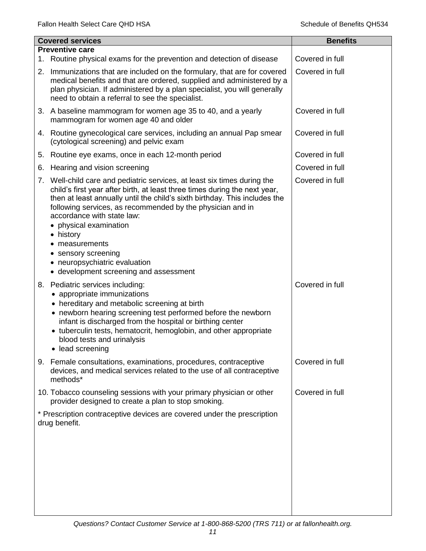|    | <b>Covered services</b>                                                                                                                                                                                                                                                                                                                                                                                                                                                                 | <b>Benefits</b> |
|----|-----------------------------------------------------------------------------------------------------------------------------------------------------------------------------------------------------------------------------------------------------------------------------------------------------------------------------------------------------------------------------------------------------------------------------------------------------------------------------------------|-----------------|
|    | <b>Preventive care</b>                                                                                                                                                                                                                                                                                                                                                                                                                                                                  |                 |
| 1. | Routine physical exams for the prevention and detection of disease                                                                                                                                                                                                                                                                                                                                                                                                                      | Covered in full |
| 2. | Immunizations that are included on the formulary, that are for covered<br>medical benefits and that are ordered, supplied and administered by a<br>plan physician. If administered by a plan specialist, you will generally<br>need to obtain a referral to see the specialist.                                                                                                                                                                                                         | Covered in full |
|    | 3. A baseline mammogram for women age 35 to 40, and a yearly<br>mammogram for women age 40 and older                                                                                                                                                                                                                                                                                                                                                                                    | Covered in full |
|    | 4. Routine gynecological care services, including an annual Pap smear<br>(cytological screening) and pelvic exam                                                                                                                                                                                                                                                                                                                                                                        | Covered in full |
|    | 5. Routine eye exams, once in each 12-month period                                                                                                                                                                                                                                                                                                                                                                                                                                      | Covered in full |
| 6. | Hearing and vision screening                                                                                                                                                                                                                                                                                                                                                                                                                                                            | Covered in full |
|    | 7. Well-child care and pediatric services, at least six times during the<br>child's first year after birth, at least three times during the next year,<br>then at least annually until the child's sixth birthday. This includes the<br>following services, as recommended by the physician and in<br>accordance with state law:<br>physical examination<br>• history<br>measurements<br>• sensory screening<br>• neuropsychiatric evaluation<br>• development screening and assessment | Covered in full |
|    | 8. Pediatric services including:<br>• appropriate immunizations<br>• hereditary and metabolic screening at birth<br>• newborn hearing screening test performed before the newborn<br>infant is discharged from the hospital or birthing center<br>• tuberculin tests, hematocrit, hemoglobin, and other appropriate<br>blood tests and urinalysis<br>• lead screening                                                                                                                   | Covered in full |
|    | 9. Female consultations, examinations, procedures, contraceptive<br>devices, and medical services related to the use of all contraceptive<br>methods*                                                                                                                                                                                                                                                                                                                                   | Covered in full |
|    | 10. Tobacco counseling sessions with your primary physician or other<br>provider designed to create a plan to stop smoking.                                                                                                                                                                                                                                                                                                                                                             | Covered in full |
|    | * Prescription contraceptive devices are covered under the prescription<br>drug benefit.                                                                                                                                                                                                                                                                                                                                                                                                |                 |
|    |                                                                                                                                                                                                                                                                                                                                                                                                                                                                                         |                 |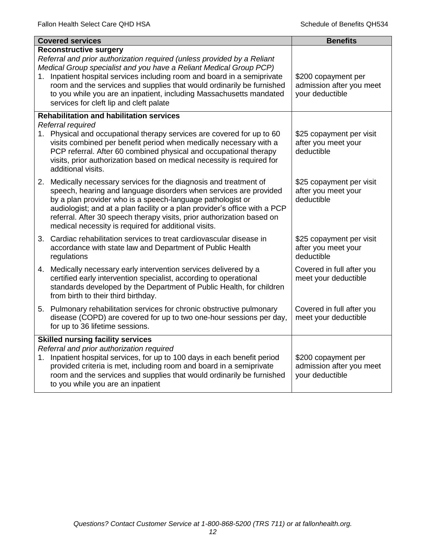|    | <b>Covered services</b>                                                                                                                                                                                                                                                                                                                                                                                                                               | <b>Benefits</b>                                                    |
|----|-------------------------------------------------------------------------------------------------------------------------------------------------------------------------------------------------------------------------------------------------------------------------------------------------------------------------------------------------------------------------------------------------------------------------------------------------------|--------------------------------------------------------------------|
|    | <b>Reconstructive surgery</b><br>Referral and prior authorization required (unless provided by a Reliant<br>Medical Group specialist and you have a Reliant Medical Group PCP)<br>1. Inpatient hospital services including room and board in a semiprivate<br>room and the services and supplies that would ordinarily be furnished<br>to you while you are an inpatient, including Massachusetts mandated<br>services for cleft lip and cleft palate | \$200 copayment per<br>admission after you meet<br>your deductible |
|    | <b>Rehabilitation and habilitation services</b><br>Referral required                                                                                                                                                                                                                                                                                                                                                                                  |                                                                    |
|    | 1. Physical and occupational therapy services are covered for up to 60<br>visits combined per benefit period when medically necessary with a<br>PCP referral. After 60 combined physical and occupational therapy<br>visits, prior authorization based on medical necessity is required for<br>additional visits.                                                                                                                                     | \$25 copayment per visit<br>after you meet your<br>deductible      |
|    | 2. Medically necessary services for the diagnosis and treatment of<br>speech, hearing and language disorders when services are provided<br>by a plan provider who is a speech-language pathologist or<br>audiologist; and at a plan facility or a plan provider's office with a PCP<br>referral. After 30 speech therapy visits, prior authorization based on<br>medical necessity is required for additional visits.                                 | \$25 copayment per visit<br>after you meet your<br>deductible      |
|    | 3. Cardiac rehabilitation services to treat cardiovascular disease in<br>accordance with state law and Department of Public Health<br>regulations                                                                                                                                                                                                                                                                                                     | \$25 copayment per visit<br>after you meet your<br>deductible      |
|    | 4. Medically necessary early intervention services delivered by a<br>certified early intervention specialist, according to operational<br>standards developed by the Department of Public Health, for children<br>from birth to their third birthday.                                                                                                                                                                                                 | Covered in full after you<br>meet your deductible                  |
|    | 5. Pulmonary rehabilitation services for chronic obstructive pulmonary<br>disease (COPD) are covered for up to two one-hour sessions per day,<br>for up to 36 lifetime sessions.                                                                                                                                                                                                                                                                      | Covered in full after you<br>meet your deductible                  |
| 1. | <b>Skilled nursing facility services</b><br>Referral and prior authorization required<br>Inpatient hospital services, for up to 100 days in each benefit period<br>provided criteria is met, including room and board in a semiprivate<br>room and the services and supplies that would ordinarily be furnished<br>to you while you are an inpatient                                                                                                  | \$200 copayment per<br>admission after you meet<br>your deductible |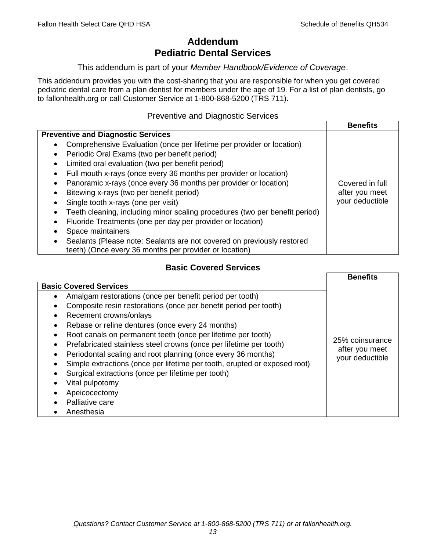# **Addendum Pediatric Dental Services**

### This addendum is part of your *Member Handbook/Evidence of Coverage*.

This addendum provides you with the cost-sharing that you are responsible for when you get covered pediatric dental care from a plan dentist for members under the age of 19. For a list of plan dentists, go to fallonhealth.org or call Customer Service at 1-800-868-5200 (TRS 711).

### Preventive and Diagnostic Services

|                                                                                    | <b>Benefits</b> |
|------------------------------------------------------------------------------------|-----------------|
| <b>Preventive and Diagnostic Services</b>                                          |                 |
| Comprehensive Evaluation (once per lifetime per provider or location)<br>$\bullet$ |                 |
| Periodic Oral Exams (two per benefit period)                                       |                 |
| Limited oral evaluation (two per benefit period)                                   |                 |
| Full mouth x-rays (once every 36 months per provider or location)                  |                 |
| Panoramic x-rays (once every 36 months per provider or location)                   | Covered in full |
| Bitewing x-rays (two per benefit period)                                           | after you meet  |
| Single tooth x-rays (one per visit)                                                | your deductible |
| Teeth cleaning, including minor scaling procedures (two per benefit period)        |                 |
| Fluoride Treatments (one per day per provider or location)                         |                 |
| Space maintainers                                                                  |                 |
| Sealants (Please note: Sealants are not covered on previously restored             |                 |
| teeth) (Once every 36 months per provider or location)                             |                 |

### **Basic Covered Services**

|                                                                           | <b>Benefits</b>                   |
|---------------------------------------------------------------------------|-----------------------------------|
| <b>Basic Covered Services</b>                                             |                                   |
| Amalgam restorations (once per benefit period per tooth)                  |                                   |
| Composite resin restorations (once per benefit period per tooth)          |                                   |
| Recement crowns/onlays                                                    |                                   |
| Rebase or reline dentures (once every 24 months)                          |                                   |
| Root canals on permanent teeth (once per lifetime per tooth)              |                                   |
| Prefabricated stainless steel crowns (once per lifetime per tooth)        | 25% coinsurance                   |
| Periodontal scaling and root planning (once every 36 months)              | after you meet<br>your deductible |
| Simple extractions (once per lifetime per tooth, erupted or exposed root) |                                   |
| Surgical extractions (once per lifetime per tooth)                        |                                   |
| Vital pulpotomy                                                           |                                   |
| Apeicocectomy                                                             |                                   |
| Palliative care                                                           |                                   |
| Anesthesia                                                                |                                   |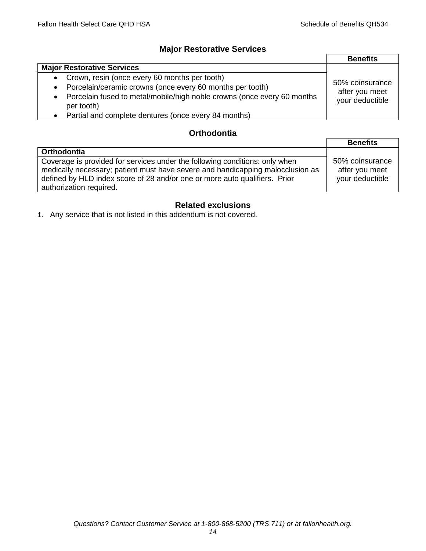### **Major Restorative Services**

|                                                                                                    | <b>Benefits</b>                                      |
|----------------------------------------------------------------------------------------------------|------------------------------------------------------|
| <b>Major Restorative Services</b>                                                                  |                                                      |
| Crown, resin (once every 60 months per tooth)<br>$\bullet$                                         | 50% coinsurance<br>after you meet<br>your deductible |
| Porcelain/ceramic crowns (once every 60 months per tooth)<br>$\bullet$                             |                                                      |
| Porcelain fused to metal/mobile/high noble crowns (once every 60 months<br>$\bullet$<br>per tooth) |                                                      |
| Partial and complete dentures (once every 84 months)                                               |                                                      |

### **Orthodontia**

|                                                                                                                                                                                                                                                                        | <b>Benefits</b>                                      |
|------------------------------------------------------------------------------------------------------------------------------------------------------------------------------------------------------------------------------------------------------------------------|------------------------------------------------------|
| Orthodontia                                                                                                                                                                                                                                                            |                                                      |
| Coverage is provided for services under the following conditions: only when<br>medically necessary; patient must have severe and handicapping malocclusion as<br>defined by HLD index score of 28 and/or one or more auto qualifiers. Prior<br>authorization required. | 50% coinsurance<br>after you meet<br>your deductible |

## **Related exclusions**

1. Any service that is not listed in this addendum is not covered.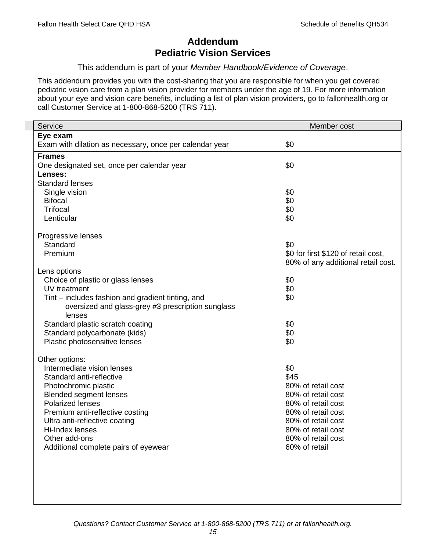# **Addendum Pediatric Vision Services**

### This addendum is part of your *Member Handbook/Evidence of Coverage*.

This addendum provides you with the cost-sharing that you are responsible for when you get covered pediatric vision care from a plan vision provider for members under the age of 19. For more information about your eye and vision care benefits, including a list of plan vision providers, go to fallonhealth.org or call Customer Service at 1-800-868-5200 (TRS 711).

| Service                                                 | Member cost                         |
|---------------------------------------------------------|-------------------------------------|
| Eye exam                                                |                                     |
| Exam with dilation as necessary, once per calendar year | \$0                                 |
| <b>Frames</b>                                           |                                     |
| One designated set, once per calendar year              | \$0                                 |
| Lenses:                                                 |                                     |
| <b>Standard lenses</b>                                  |                                     |
| Single vision                                           | \$0                                 |
| <b>Bifocal</b>                                          | \$0                                 |
| <b>Trifocal</b>                                         | \$0                                 |
| Lenticular                                              | \$0                                 |
| Progressive lenses                                      |                                     |
| Standard                                                | \$0                                 |
| Premium                                                 | \$0 for first \$120 of retail cost, |
|                                                         | 80% of any additional retail cost.  |
| Lens options                                            |                                     |
| Choice of plastic or glass lenses                       | \$0                                 |
| UV treatment                                            | \$0                                 |
| Tint – includes fashion and gradient tinting, and       | \$0                                 |
| oversized and glass-grey #3 prescription sunglass       |                                     |
| lenses                                                  |                                     |
| Standard plastic scratch coating                        | \$0                                 |
| Standard polycarbonate (kids)                           | \$0                                 |
| Plastic photosensitive lenses                           | \$0                                 |
| Other options:                                          |                                     |
| Intermediate vision lenses                              | \$0                                 |
| Standard anti-reflective                                | \$45                                |
| Photochromic plastic                                    | 80% of retail cost                  |
| <b>Blended segment lenses</b>                           | 80% of retail cost                  |
| <b>Polarized lenses</b>                                 | 80% of retail cost                  |
| Premium anti-reflective costing                         | 80% of retail cost                  |
| Ultra anti-reflective coating                           | 80% of retail cost                  |
| Hi-Index lenses                                         | 80% of retail cost                  |
| Other add-ons                                           | 80% of retail cost                  |
| Additional complete pairs of eyewear                    | 60% of retail                       |
|                                                         |                                     |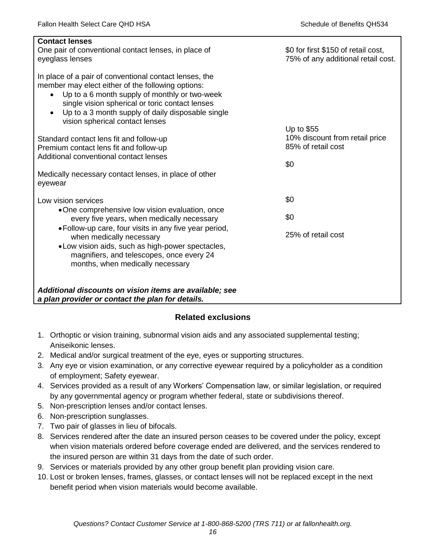| <b>Contact lenses</b><br>One pair of conventional contact lenses, in place of<br>eyeglass lenses                                                                                                                                                                                                                                  | \$0 for first \$150 of retail cost,<br>75% of any additional retail cost. |
|-----------------------------------------------------------------------------------------------------------------------------------------------------------------------------------------------------------------------------------------------------------------------------------------------------------------------------------|---------------------------------------------------------------------------|
| In place of a pair of conventional contact lenses, the<br>member may elect either of the following options:<br>Up to a 6 month supply of monthly or two-week<br>$\bullet$<br>single vision spherical or toric contact lenses<br>Up to a 3 month supply of daily disposable single<br>$\bullet$<br>vision spherical contact lenses |                                                                           |
| Standard contact lens fit and follow-up                                                                                                                                                                                                                                                                                           | Up to $$55$<br>10% discount from retail price                             |
| Premium contact lens fit and follow-up                                                                                                                                                                                                                                                                                            | 85% of retail cost                                                        |
| Additional conventional contact lenses                                                                                                                                                                                                                                                                                            | \$0                                                                       |
| Medically necessary contact lenses, in place of other<br>eyewear                                                                                                                                                                                                                                                                  |                                                                           |
| Low vision services                                                                                                                                                                                                                                                                                                               | \$0                                                                       |
| •One comprehensive low vision evaluation, once<br>every five years, when medically necessary                                                                                                                                                                                                                                      | \$0                                                                       |
| • Follow-up care, four visits in any five year period,<br>when medically necessary<br>.Low vision aids, such as high-power spectacles,<br>magnifiers, and telescopes, once every 24<br>months, when medically necessary                                                                                                           | 25% of retail cost                                                        |
| Additional discounts on vision items are available; see<br>a plan provider or contact the plan for details.                                                                                                                                                                                                                       |                                                                           |

### **Related exclusions**

- 1. Orthoptic or vision training, subnormal vision aids and any associated supplemental testing; Aniseikonic lenses.
- 2. Medical and/or surgical treatment of the eye, eyes or supporting structures.
- 3. Any eye or vision examination, or any corrective eyewear required by a policyholder as a condition of employment; Safety eyewear.
- 4. Services provided as a result of any Workers' Compensation law, or similar legislation, or required by any governmental agency or program whether federal, state or subdivisions thereof.
- 5. Non-prescription lenses and/or contact lenses.
- 6. Non-prescription sunglasses.
- 7. Two pair of glasses in lieu of bifocals.
- 8. Services rendered after the date an insured person ceases to be covered under the policy, except when vision materials ordered before coverage ended are delivered, and the services rendered to the insured person are within 31 days from the date of such order.
- 9. Services or materials provided by any other group benefit plan providing vision care.
- 10. Lost or broken lenses, frames, glasses, or contact lenses will not be replaced except in the next benefit period when vision materials would become available.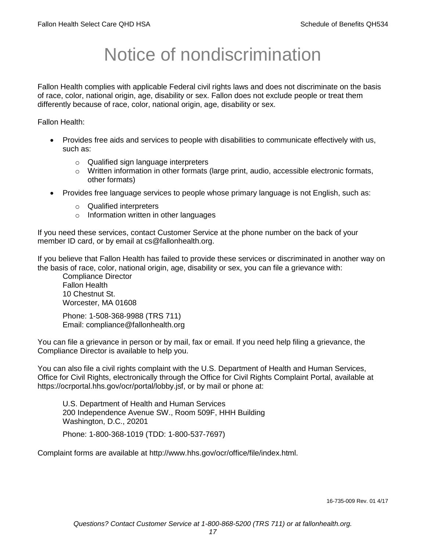# Notice of nondiscrimination

Fallon Health complies with applicable Federal civil rights laws and does not discriminate on the basis of race, color, national origin, age, disability or sex. Fallon does not exclude people or treat them differently because of race, color, national origin, age, disability or sex.

Fallon Health:

- Provides free aids and services to people with disabilities to communicate effectively with us, such as:
	- o Qualified sign language interpreters
	- $\circ$  Written information in other formats (large print, audio, accessible electronic formats, other formats)
- Provides free language services to people whose primary language is not English, such as:
	- o Qualified interpreters
	- o Information written in other languages

If you need these services, contact Customer Service at the phone number on the back of your member ID card, or by email at cs@fallonhealth.org.

If you believe that Fallon Health has failed to provide these services or discriminated in another way on the basis of race, color, national origin, age, disability or sex, you can file a grievance with:

Compliance Director Fallon Health 10 Chestnut St. Worcester, MA 01608

Phone: 1-508-368-9988 (TRS 711) Email: compliance@fallonhealth.org

You can file a grievance in person or by mail, fax or email. If you need help filing a grievance, the Compliance Director is available to help you.

You can also file a civil rights complaint with the U.S. Department of Health and Human Services, Office for Civil Rights, electronically through the Office for Civil Rights Complaint Portal, available at https://ocrportal.hhs.gov/ocr/portal/lobby.jsf, or by mail or phone at:

U.S. Department of Health and Human Services 200 Independence Avenue SW., Room 509F, HHH Building Washington, D.C., 20201

Phone: 1-800-368-1019 (TDD: 1-800-537-7697)

Complaint forms are available at http://www.hhs.gov/ocr/office/file/index.html.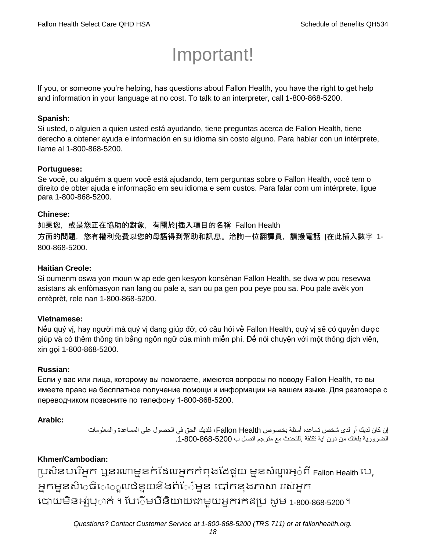# Important!

If you, or someone you're helping, has questions about Fallon Health, you have the right to get help and information in your language at no cost. To talk to an interpreter, call 1-800-868-5200.

### **Spanish:**

Si usted, o alguien a quien usted está ayudando, tiene preguntas acerca de Fallon Health, tiene derecho a obtener ayuda e información en su idioma sin costo alguno. Para hablar con un intérprete, llame al 1-800-868-5200.

### **Portuguese:**

Se você, ou alguém a quem você está ajudando, tem perguntas sobre o Fallon Health, você tem o direito de obter ajuda e informação em seu idioma e sem custos. Para falar com um intérprete, ligue para 1-800-868-5200.

### **Chinese:**

如果您,或是您正在協助的對象,有關於[插入項目的名稱 Fallon Health 方面的問題,您有權利免費以您的母語得到幫助和訊息。洽詢一位翻譯員,請撥電話 [在此插入數字 1- 800-868-5200.

### **Haitian Creole:**

Si oumenm oswa yon moun w ap ede gen kesyon konsènan Fallon Health, se dwa w pou resevwa asistans ak enfòmasyon nan lang ou pale a, san ou pa gen pou peye pou sa. Pou pale avèk yon entèprèt, rele nan 1-800-868-5200.

### **Vietnamese:**

Nếu quý vị, hay người mà quý vị đang giúp đỡ, có câu hỏi về Fallon Health, quý vị sẽ có quyền được giúp và có thêm thông tin bằng ngôn ngữ của mình miễn phí. Để nói chuyện với một thông dịch viên, xin gọi 1-800-868-5200.

### **Russian:**

Если у вас или лица, которому вы помогаете, имеются вопросы по поводу Fallon Health, то вы имеете право на бесплатное получение помощи и информации на вашем языке. Для разговора с переводчиком позвоните по телефону 1-800-868-5200.

### **Arabic:**

إن كان لديك أو لدى شخص تساعده أسئلة بخصوص Health Fallon، فلديك الحق في الحصول على المساعدة والمعلومات الضرورية بلغتك من دون اية تكلفة .للتحدث مع مترجم اتصل ب .1-800-868-5200

### **Khmer/Cambodian:**

ប្រសិនបរើអ្នក ឬនរណាម្ននក់ដែលអ្នកកំពុងដែដួយ ម្ននសំណួរអ្៎ពី Fallon Health បេ, អ្នកម្ននសិេធិេេួលជំនួយនិងព័ែ៌ម្នន បៅកនុងភាសា ររស់អ្នក រោយម្ិនអ្ស់រ្ំ ក់ ។ ដររំម្ រនី ិយាយជាម្ួយអ្នក កែប្រ សូ ម្ 1-800-868-5200 ។

*Questions? Contact Customer Service at 1-800-868-5200 (TRS 711) or at fallonhealth.org.*